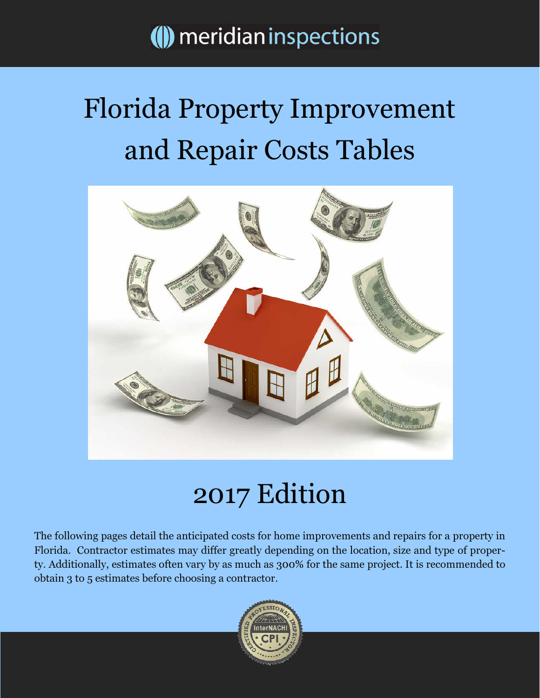## () meridian inspections

# Florida Property Improvement and Repair Costs Tables



# 2017 Edition

The following pages detail the anticipated costs for home improvements and repairs for a property in Florida. Contractor estimates may differ greatly depending on the location, size and type of property. Additionally, estimates often vary by as much as 300% for the same project. It is recommended to obtain 3 to 5 estimates before choosing a contractor.

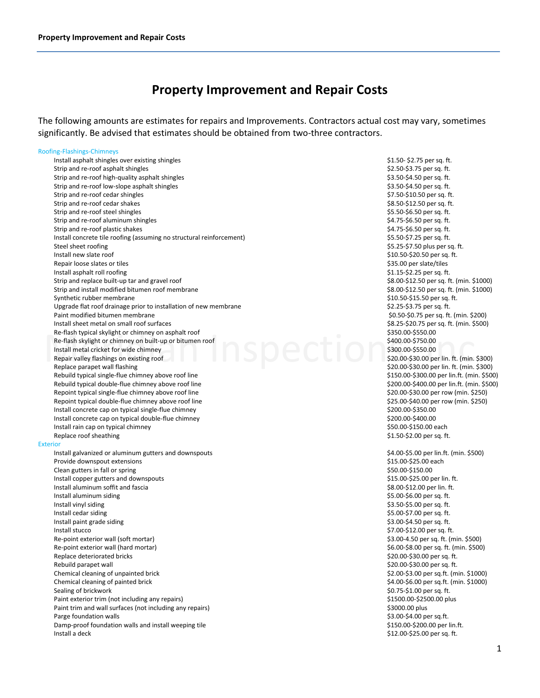### Property Improvement and Repair Costs

The following amounts are estimates for repairs and Improvements. Contractors actual cost may vary, sometimes significantly. Be advised that estimates should be obtained from two-three contractors.

### Roofing-Flashings-Chimneys

| Install asphalt shingles over existing shingles                      | \$1.50-\$2.75 per sq. ft.                  |
|----------------------------------------------------------------------|--------------------------------------------|
| Strip and re-roof asphalt shingles                                   | \$2.50-\$3.75 per sq. ft.                  |
| Strip and re-roof high-quality asphalt shingles                      | \$3.50-\$4.50 per sq. ft.                  |
| Strip and re-roof low-slope asphalt shingles                         | \$3.50-\$4.50 per sq. ft.                  |
| Strip and re-roof cedar shingles                                     | \$7.50-\$10.50 per sq. ft.                 |
| Strip and re-roof cedar shakes                                       | \$8.50-\$12.50 per sq. ft.                 |
| Strip and re-roof steel shingles                                     | \$5.50-\$6.50 per sq. ft.                  |
| Strip and re-roof aluminum shingles                                  | \$4.75-\$6.50 per sq. ft.                  |
| Strip and re-roof plastic shakes                                     | \$4.75-\$6.50 per sq. ft.                  |
| Install concrete tile roofing (assuming no structural reinforcement) | \$5.50-\$7.25 per sq. ft.                  |
| Steel sheet roofing                                                  | \$5.25-\$7.50 plus per sq. ft.             |
| Install new slate roof                                               | \$10.50-\$20.50 per sq. ft.                |
| Repair loose slates or tiles                                         | \$35.00 per slate/tiles                    |
| Install asphalt roll roofing                                         | \$1.15-\$2.25 per sq. ft.                  |
| Strip and replace built-up tar and gravel roof                       | \$8.00-\$12.50 per sq. ft. (min. \$1000)   |
| Strip and install modified bitumen roof membrane                     | \$8.00-\$12.50 per sq. ft. (min. \$1000)   |
| Synthetic rubber membrane                                            | \$10.50-\$15.50 per sq. ft.                |
| Upgrade flat roof drainage prior to installation of new membrane     | \$2.25-\$3.75 per sq. ft.                  |
| Paint modified bitumen membrane                                      | \$0.50-\$0.75 per sq. ft. (min. \$200)     |
| Install sheet metal on small roof surfaces                           | \$8.25-\$20.75 per sq. ft. (min. \$500)    |
| Re-flash typical skylight or chimney on asphalt roof                 | \$350.00-\$550.00                          |
| Re-flash skylight or chimney on built-up or bitumen roof             | \$400.00-\$750.00                          |
| Install metal cricket for wide chimney                               | \$300.00-\$550.00                          |
| Repair valley flashings on existing roof                             | \$20.00-\$30.00 per lin. ft. (min. \$300)  |
| Replace parapet wall flashing                                        | \$20.00-\$30.00 per lin. ft. (min. \$300)  |
| Rebuild typical single-flue chimney above roof line                  | \$150.00-\$300.00 per lin.ft. (min. \$500) |
| Rebuild typical double-flue chimney above roof line                  | \$200.00-\$400.00 per lin.ft. (min. \$500) |
| Repoint typical single-flue chimney above roof line                  | \$20.00-\$30.00 per row (min. \$250)       |
| Repoint typical double-flue chimney above roof line                  | \$25.00-\$40.00 per row (min. \$250)       |
| Install concrete cap on typical single-flue chimney                  | \$200.00-\$350.00                          |
| Install concrete cap on typical double-flue chimney                  | \$200.00-\$400.00                          |
| Install rain cap on typical chimney                                  | \$50.00-\$150.00 each                      |
| Replace roof sheathing                                               | $$1.50-\$2.00$ per sq. ft.                 |
| <b>Exterior</b>                                                      |                                            |
| Install galvanized or aluminum gutters and downspouts                | \$4.00-\$5.00 per lin.ft. (min. \$500)     |
| Provide downspout extensions                                         | \$15.00-\$25.00 each                       |
| Clean gutters in fall or spring                                      | \$50.00-\$150.00                           |
| Install copper gutters and downspouts                                | \$15.00-\$25.00 per lin. ft.               |
| Install aluminum soffit and fascia                                   | \$8.00-\$12.00 per lin. ft.                |
| Install aluminum siding                                              | \$5.00-\$6.00 per sq. ft.                  |
| Install vinyl siding                                                 | \$3.50-\$5.00 per sq. ft.                  |
| Install cedar siding                                                 | \$5.00-\$7.00 per sq. ft.                  |
| Install paint grade siding                                           | \$3.00-\$4.50 per sq. ft.                  |
| Install stucco                                                       | \$7.00-\$12.00 per sq. ft.                 |
| Re-point exterior wall (soft mortar)                                 | \$3.00-4.50 per sq. ft. (min. \$500)       |
|                                                                      | \$6.00-\$8.00 per sq. ft. (min. \$500)     |
| Re-point exterior wall (hard mortar)                                 |                                            |
| Replace deteriorated bricks                                          | \$20.00-\$30.00 per sq. ft.                |
| Rebuild parapet wall                                                 | \$20.00-\$30.00 per sq. ft.                |
| Chemical cleaning of unpainted brick                                 | \$2.00-\$3.00 per sq.ft. (min. \$1000)     |
| Chemical cleaning of painted brick                                   | \$4.00-\$6.00 per sq.ft. (min. \$1000)     |
| Sealing of brickwork                                                 | \$0.75-\$1.00 per sq. ft.                  |
| Paint exterior trim (not including any repairs)                      | \$1500.00-\$2500.00 plus                   |
| Paint trim and wall surfaces (not including any repairs)             | \$3000.00 plus                             |
| Parge foundation walls                                               | \$3.00-\$4.00 per sq.ft.                   |
| Damp-proof foundation walls and install weeping tile                 | \$150.00-\$200.00 per lin.ft.              |
| Install a deck                                                       | \$12.00-\$25.00 per sq. ft.                |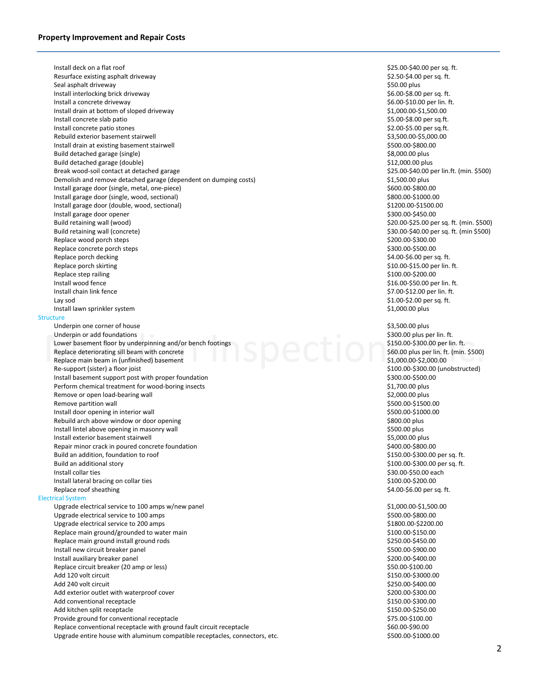Underpin or add foundations<br>
Lower basement floor by underpinning and/or bench footings<br>
Replace deteriorating sill beam with concrete<br>
Replace main beam in (unfinished) basement<br>
Re-sunnort (sister) a floor joist<br>
Re-sunn Install deck on a flat roof **Alternative Controller and S25.00-\$40.00** per sq. ft. Resurface existing asphalt driveway  $$2.50-$4.00$  per sq. ft. Seal asphalt driveway \$50.00 plus Install interlocking brick driveway **EXECUTE:**  $\frac{1}{2}$  and  $\frac{1}{2}$  and  $\frac{1}{2}$  and  $\frac{1}{2}$  and  $\frac{1}{2}$  and  $\frac{1}{2}$  and  $\frac{1}{2}$  and  $\frac{1}{2}$  and  $\frac{1}{2}$  and  $\frac{1}{2}$  and  $\frac{1}{2}$  and  $\frac{1}{2}$  and  $\frac{1}{2$ Install a concrete driveway and the state of the state of the state of the state of the state of the state of the state of the state of the state of the state of the state of the state of the state of the state of the stat Install drain at bottom of sloped driveway  $$1,000.00-$1,500.00$ Install concrete slab patio \$5.00-\$8.00 per sq.ft. Install concrete patio stones \$2.00-\$5.00 per sq.ft. Rebuild exterior basement stairwell  $\lesssim$  85,500.00-\$5,000.00-\$5,000.00-\$5,000.00 Install drain at existing basement stairwell  $$500.00-$800.00$ Build detached garage (single) \$8,000.00 plus Build detached garage (double) **\$12,000.00 plus**  $$12,000.00$  plus Break wood-soil contact at detached garage \$25.00-\$40.00 per lin.ft. (min. \$500) Demolish and remove detached garage (dependent on dumping costs) **\$1,500.00** plus Install garage door (single, metal, one-piece) \$600.00-\$800.00 \$600.00-\$800.00 Install garage door (single, wood, sectional) 6800.00-\$1000.000 \$800.00-\$1000.00 Install garage door (double, wood, sectional) 61200.000 \$1500.00 Install garage door opener **by a straight and the set of the set of the set of the set of the set of the set of the set of the set of the set of the set of the set of the set of the set of the set of the set of the set of** Build retaining wall (wood) **\$20.00-\$25.00 per sq. ft.** (min. \$500) Build retaining wall (concrete) \$30.00-\$40.00 per sq. ft. (min \$500) Replace wood porch steps  $$200.00-$300.00$ Replace concrete porch steps  $$300.00-$500.00$ Replace porch decking the state of the state of the state of the state of the state of the state of the state of the state of the state of the state of the state of the state of the state of the state of the state of the s Replace porch skirting the state of the state of the state of the state of the state of the state of the state of the state of the state of the state of the state of the state of the state of the state of the state of the Replace step railing \$100.00-\$200.00 \$100.00-\$200.00 Install wood fence **16.00-\$50.00** per lin. ft. Install chain link fence \$7.00-\$12.00 per lin. ft. Lay sod \$1.00-\$2.00 per sq. ft. Install lawn sprinkler system  $$1,000.00$  plus **Structure** Underpin one corner of house  $$3,500.00$  plus Underpin or add foundations **the control of the control of the control of the control of the control of the control of the control of the control of the control of the control of the control of the control of the control o** Lower basement floor by underpinning and/or bench footings \$150.00-\$300.00 per lin. ft. Replace deteriorating sill beam with concrete **\$60.000 plus per lin. ft. (min. \$500**) Replace main beam in (unfinished) basement \$1,000.00-\$2,000.00 Re-support (sister) a floor joist and the support (sister) a floor joist and the support (sister) a floor joist  $\zeta$  100.00- $\zeta$  300.00- $\zeta$  500.00 (unobstructed) Install basement support post with proper foundation **S300.00-\$500.000-\$500.00** \$300.00-\$500.00 Perform chemical treatment for wood-boring insects \$1,700.00 plus Remove or open load-bearing wall and the state of the state of the state of the state of the state of the state of the state of the state of the state of the state of the state of the state of the state of the state of the Remove partition wall and the state of the state of the state of the state of the state of the state of the state of the state of the state of the state of the state of the state of the state of the state of the state of t Install door opening in interior wall and the state of the state of the state of the state of the state of the state of the state of the state of the state of the state of the state of the state of the state of the state o Rebuild arch above window or door opening \$800.00 plus \$800.00 plus Install lintel above opening in masonry wall **SEOO.00** plus and the state of the state of the state of the state of the state of the state of the state of the state of the state of the state of the state of the state of th Install exterior basement stairwell **Exterior State and State and State and State and State and State and State and State and State and State and State and State and State and State and State and State and State and State** Repair minor crack in poured concrete foundation  $$400.00-$800.00$ Build an addition, foundation to roof the state of the state  $$150.00-$300.00$  per sq. ft. Build an additional story \$100.00-\$300.00 per sq. ft. Install collar ties \$30.00-\$50.00 each \$30.00 each \$30.00 each \$30.00 each \$30.00 each \$30.00 each \$30.00 each Install lateral bracing on collar ties  $$100.00-$200.00$ Replace roof sheathing the state of the state of the state of the state of the state of the state of the state of the state of the state of the state of the state of the state of the state of the state of the state of the Electrical System Upgrade electrical service to 100 amps w/new panel  $$1,000.00-$1,500.00$ Upgrade electrical service to 100 amps  $$500.00-$800.00$ Upgrade electrical service to 200 amps  $$1800.00-$2200.00$ Replace main ground/grounded to water main \$100.00-\$150.00 \$150.00 Replace main ground install ground rods \$250.00-\$450.00 Install new circuit breaker panel **Alternative Controller and Alternative Controller and Alternative Controller** Install auxiliary breaker panel auxiliary breaker panel by the state of the state of the state of the state of the state of the state of the state of the state of the state of the state of the state of the state of the sta Replace circuit breaker (20 amp or less) \$50.00-\$100.00 \$100.000 \$50.00-\$100.00 Add 120 volt circuit \$150.00-\$3000.00 Add 240 volt circuit \$250.00-\$400.00 Add exterior outlet with waterproof cover \$200.00-\$300.00 \$200.00-\$300.00 Add conventional receptacle  $$3150.00-$300.00$ Add kitchen split receptacle \$150.00-\$250.00 Provide ground for conventional receptacle<br>
Replace conventional receptacle with ground fault circuit receptacle<br>
S60.00-\$90.00 Replace conventional receptacle with ground fault circuit receptacle Upgrade entire house with aluminum compatible receptacles, connectors, etc. \$500.00-\$1000.000-\$1000.00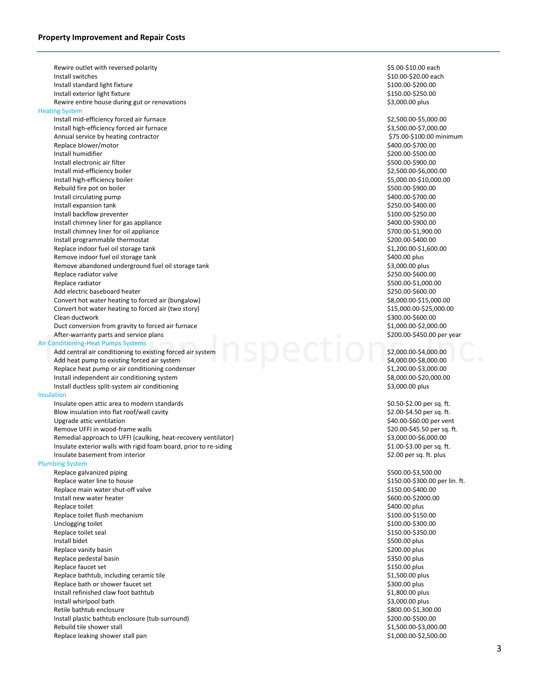After-warranty parts and service plans<br>
Tonditioning-Heat Pumps Systems<br>
Add central air conditioning to existing forced air system<br>
Add heat pump to existing forced air system<br>
Add heat pump to existing forced air system<br> Rewire outlet with reversed polarity and the state of the state of the state of the state of the state of the state of the state of the state of the state of the state of the state of the state of the state of the state of Install switches \$10.00-\$20.00 each Install standard light fixture \$100.00-\$200.00 Install exterior light fixture \$150.00-\$250.00 Rewire entire house during gut or renovations **by a strategies of the strategies of the strategies** \$3,000.00 plus Heating System Install mid-efficiency forced air furnace \$2,500.00-\$5,000.00 Install high-efficiency forced air furnace  $\sim$  83,500.00-\$7,000.00 Annual service by heating contractor and the service of the service of the service of the state of the service of the service of the service of the service of the service of the service of the service of the service of the Replace blower/motor Install humidifier \$200.00-\$500.00 Install electronic air filter \$500.00-\$900.00 Install mid-efficiency boiler \$2,500.00-\$6,000.00 Install high-efficiency boiler \$5,000.00-\$10,000.00 Rebuild fire pot on boiler  $$500.00-$900.00$ Install circulating pump  $\lesssim 400.00$ -\$700.00 Install expansion tank \$250.00-\$400.00 Install backflow preventer  $$100.00-$250.00$ Install chimney liner for gas appliance  $$400.00-$900.00$ Install chimney liner for oil appliance  $$500.00-51,900.00$ Install programmable thermostat  $\sim$  1000-8400.00 Replace indoor fuel oil storage tank  $$1,200.00-$1,600.00$ Remove indoor fuel oil storage tank \$400.00 plus and the storage term of the storage term of the storage tank \$400.00 plus Remove abandoned underground fuel oil storage tank **\$3,000.00 plus** \$3,000.00 plus Replace radiator valve  $$250.00-$600.00$ Replace radiator  $$500.00-$1,000.00$ Add electric baseboard heater **\$250.00-\$600.00**  $\sim$  \$250.00-\$600.00 Convert hot water heating to forced air (bungalow)  $$8,000.00-$15,000.00$ Convert hot water heating to forced air (two story)  $$15,000.00-$25,000.00$ Clean ductwork \$300.00-\$600.00 Duct conversion from gravity to forced air furnace  $$1,000.00-$2,000.00$ After-warranty parts and service plans **by the contract of the contract of the contract of the contract of the contract of the contract of the contract of the contract of the contract of the contract of the contract of the** Air Conditioning-Heat Pumps Systems Add central air conditioning to existing forced air system \$2,000.00-\$4,000.00-\$4,000.00-\$4,000.00-\$4,000.00-\$4,000.00 Add heat pump to existing forced air system  $\sim$  8.000.000-\$8,000.000-\$8,000.00 Replace heat pump or air conditioning condenser \$1,200.00-\$3,000.00 \$1,200.00-\$3,000.00 Install independent air conditioning system  $$8,000.00-$20,000.00$ Install ductless split-system air conditioning the state of the state of the state of the state of the state of the state of the state of the state of the state of the state of the state of the state of the state of the st **Insulation** Insulate open attic area to modern standards  $$0.50-$2.00$  per sq. ft. Blow insulation into flat roof/wall cavity **Example 2000** and the state of the state of the sq. ft. Upgrade attic ventilation and the state of the state of the state of the state of the state of the state of the state of the state of the state of the state of the state of the state of the state of the state of the state Remove UFFI in wood-frame walls **EXECUTE:**  $\frac{1}{20.000}$  \$20.00-\$45.50 per sq. ft. Remedial approach to UFFI (caulking, heat-recovery ventilator) \$3,000.00-\$5,000.00-\$6,000.00-\$6,000.00-\$6,000.00 Insulate exterior walls with rigid foam board, prior to re-siding \$1.00-\$3.00 per sq. ft. Insulate basement from interior  $$2.00$  per sq. ft. plus Plumbing System Replace galvanized piping  $$500.00-$3,500.00$ Replace water line to house the burden of the state of the state of the state of the state of the state of the state of the Replace main water shut-off valve  $\frac{150.00-5300.00}{2}$  . Replace main water shut-off valve Install new water heater \$600.00-\$2000.00 Replace toilet \$400.00 plus \$400.00 plus \$400.00 plus \$400.00 plus \$400.00 plus \$ Replace toilet flush mechanism and the state of the state of the state of the state of the state of the state of the state of the state of the state of the state of the state of the state of the state of the state of the s Unclogging toilet \$100.00-\$300.00 Replace toilet seal \$150.00-\$350.00 Install bidet \$500.00 plus Replace vanity basin **Example 200.00 plus** and the set of the set of the set of the set of the set of the set of the set of the set of the set of the set of the set of the set of the set of the set of the set of the set of Replace pedestal basin and the state of the state of the state of the state of the state of the state of the state of the state of the state of the state of the state of the state of the state of the state of the state of Replace faucet set  $$150.00$  plus Replace bathtub, including ceramic tile  $$1,500.00$  plus Replace bath or shower faucet set  $$300.00$  plus Install refinished claw foot bathtub **1.800.00 plus** 51,800.00 plus Install whirlpool bath \$3,000.00 plus Retile bathtub enclosure  $$800.00-51,300.00$ Install plastic bathtub enclosure (tub-surround) \$200.00-\$500.00 \$200.00-\$500.00 Rebuild tile shower stall states and the state of the states of the states of the states of the states of the states of the states of the states of the states of the states of the states of the states of the states of the Replace leaking shower stall pan  $$1,000.00-$2,500.00$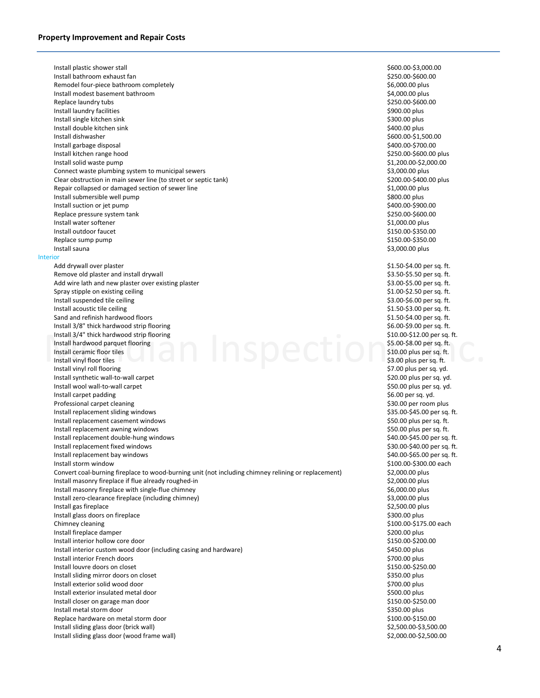Install 3/4" thick hardwood strip flooring<br>
Install hardwood parquet flooring<br>
Install cramic floor tiles<br>
Install vinyl floor tiles<br>
Install vinyl floor tiles<br>
Install vinyl floor tiles<br>
Subset of the Sale of the Sale of Install plastic shower stall \$600.00-\$3,000.00 Install bathroom exhaust fan \$250.00-\$600.00 Remodel four-piece bathroom completely example the state of the state of the state of the S6,000.00 plus state of the state of the state of the state of the state of the state of the state of the state of the state of the Install modest basement bathroom **by a straight and the set of the set of the set of the set of the set of the set of the set of the set of the set of the set of the set of the set of the set of the set of the set of the s** Replace laundry tubs  $$250.00-$600.00$ Install laundry facilities \$900.00 plus Install single kitchen sink \$300.00 plus Install double kitchen sink \$400.00 plus Install dishwasher \$600.00-\$1,500.00 Install garbage disposal \$400.00-\$700.00 Install kitchen range hood \$250.00-\$600.00 plus Install solid waste pump \$1,200.00-\$2,000.00 Connect waste plumbing system to municipal sewers **\$3,000.00 plus** \$3,000.00 plus Clear obstruction in main sewer line (to street or septic tank) \$200.00-\$400.00 plus Repair collapsed or damaged section of sewer line \$1,000.00 plus Install submersible well pump \$800.00 plus Install suction or jet pump **by a straight of the set of the set of the set of the set of the set of the set of the set of the set of the set of the set of the set of the set of the set of the set of the set of the set of** Replace pressure system tank  $$250.00-$600.00$ Install water softener \$1,000.00 plus Install outdoor faucet \$150.00-\$350.00 Replace sump pump  $$150.00$-$350.00$ Install sauna \$3,000.00 plus Interior Add drywall over plaster and the state of the state of the state of the state of the state of the state of the state of the state of the state of the state of the state of the state of the state of the state of the state o Remove old plaster and install drywall  $\overline{\phantom{3}}$  becomes a set of the set of the set of the set of the set of the set of the set of the set of the set of the set of the set of the set of the set of the set of the set of Add wire lath and new plaster over existing plaster  $\blacksquare$   $\blacksquare$  and  $\blacksquare$   $\blacksquare$   $\blacksquare$   $\blacksquare$   $\blacksquare$   $\blacksquare$   $\blacksquare$   $\blacksquare$   $\blacksquare$   $\blacksquare$   $\blacksquare$   $\blacksquare$   $\blacksquare$   $\blacksquare$   $\blacksquare$   $\blacksquare$   $\blacksquare$   $\blacksquare$   $\blacksquare$   $\blacksquare$   $\blacksquare$   $\blacksquare$ Spray stipple on existing ceiling  $$1.00-$2.50$  per sq. ft. Install suspended tile ceiling example of the control of the state of the state of the state of the state of the state of the state of the state of the state of the state of the state of the state of the state of the state Install acoustic tile ceiling example of the coustic tile ceiling  $$1.50-$3.00$  per sq. ft. Sand and refinish hardwood floors **by a straight of the set of the set of the set of the set of the set of the set of the set of the set of the set of the set of the set of the set of the set of the set of the set of the s** Install 3/8" thick hardwood strip flooring  $$6.00-$9.00$  per sq. ft. Install 3/4" thick hardwood strip flooring  $$10.00-$12.00$  per sq. ft. Install hardwood parquet flooring  $\sim$  8.000-\$8.00 per sq. ft. Install ceramic floor tiles \$10.00 plus per sq. ft. Install vinyl floor tiles **198.00 plus per sq. ft.** Install vinyl roll flooring example of the state of the state of the state of the state of the state of the state of the state of the state of the state of the state of the state of the state of the state of the state of t Install synthetic wall-to-wall carpet  $$20.00$  plus per sq. yd. Install wool wall-to-wall carpet  $$50.00$  plus per sq. yd. Install carpet padding and the state of the state of the state of the state of the state of the state of the state of the state of the state of the state of the state of the state of the state of the state of the state of Professional carpet cleaning  $\sim$  830.00 per room plus Install replacement sliding windows **by a straight of the straight of the straight of the straight of the straight of the straight of the straight of the straight of the straight of the straight of the straight of the stra** Install replacement casement windows **All and Structure Constant Casement** Case of the Structure of the Structure of the Structure of the Structure of the Structure of the Structure of the Structure of the Structure of the Install replacement awning windows **EXECUTE:**  $\sim$  \$50.00 plus per sq. ft. Install replacement double-hung windows **Accord 2000-845.00 per sq. ft.** the state of the sq. ft. Install replacement fixed windows **All and Struck and Struck and Struck and Struck and Struck and Struck and Struck and Struck and Struck and Struck and Struck and Struck and Struck and Struck and Struck and Struck and Str** Install replacement bay windows **EXECUTE:** Install replacement bay windows **\$40.00-\$65.00** per sq. ft.

Install storm window \$100.00-\$300.00 each Convert coal-burning fireplace to wood-burning unit (not including chimney relining or replacement) \$2,000.00 plus Install masonry fireplace if flue already roughed-in \$2,000.00 plus \$2,000.00 plus Install masonry fireplace with single-flue chimney **Example 2018 1998 1998 1999 1999 1999 1999 1999 1999 1999 1999 1999 1999 1999 1999 1999 1999 1999 1999 1999 1999 1999 1999 1** Install zero-clearance fireplace (including chimney) **\$3,000.00 plus** \$3,000.00 plus Install gas fireplace  $\zeta$  2,500.00 plus Install glass doors on fireplace  $$300.00$  plus Chimney cleaning  $\frac{1}{2}$  S100.00-\$175.00 each  $\frac{1}{2}$  S100.00-\$175.00 each  $\frac{1}{2}$ Install fireplace damper \$200.00 plus Install interior hollow core door \$150.00-\$200.00 Install interior custom wood door (including casing and hardware) **\$450.00 plus** \$450.00 plus Install interior French doors \$700.00 plus Install louvre doors on closet  $$150.00-$250.00$ Install sliding mirror doors on closet \$350.00 plus Install exterior solid wood door \$700.00 plus Install exterior insulated metal door \$500.00 plus Install closer on garage man door **\$150.00-\$250.00** by the state of the state of the state of the state of the state of the state of the state of the state of the state of the state of the state of the state of the state o Install metal storm door \$350.00 plus Replace hardware on metal storm door \$150.00 \$150.00 \$150.00

Install sliding glass door (brick wall)  $\sim$  1983. The set of the set of the set of the set of the set of the set of the set of the set of the set of the set of the set of the set of the set of the set of the set of the se Install sliding glass door (wood frame wall)  $\sim$  1993 and 2008 and 2008 and 2008 and 2008 and 2008 and 2008 and 2008 and 2008 and 2008 and 2008 and 2008 and 2008 and 2008 and 2008 and 2008 and 2008 and 2008 and 2008 and 2